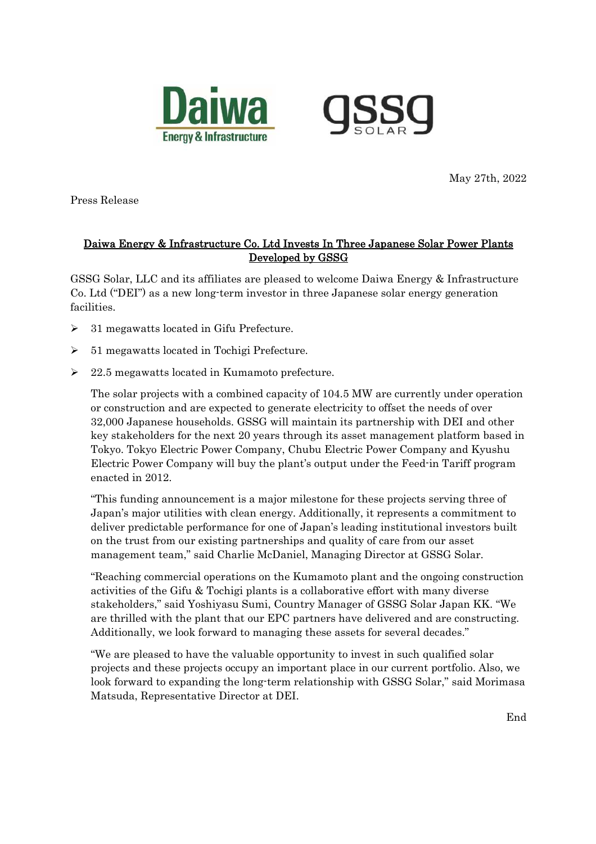



May 27th, 2022

Press Release

## Daiwa Energy & Infrastructure Co. Ltd Invests In Three Japanese Solar Power Plants Developed by GSSG

GSSG Solar, LLC and its affiliates are pleased to welcome Daiwa Energy & Infrastructure Co. Ltd ("DEI") as a new long-term investor in three Japanese solar energy generation facilities.

- $\geq$  31 megawatts located in Gifu Prefecture.
- $\geq 51$  megawatts located in Tochigi Prefecture.
- $\geq$  22.5 megawatts located in Kumamoto prefecture.

The solar projects with a combined capacity of 104.5 MW are currently under operation or construction and are expected to generate electricity to offset the needs of over 32,000 Japanese households. GSSG will maintain its partnership with DEI and other key stakeholders for the next 20 years through its asset management platform based in Tokyo. Tokyo Electric Power Company, Chubu Electric Power Company and Kyushu Electric Power Company will buy the plant's output under the Feed-in Tariff program enacted in 2012.

"This funding announcement is a major milestone for these projects serving three of Japan's major utilities with clean energy. Additionally, it represents a commitment to deliver predictable performance for one of Japan's leading institutional investors built on the trust from our existing partnerships and quality of care from our asset management team," said Charlie McDaniel, Managing Director at GSSG Solar.

"Reaching commercial operations on the Kumamoto plant and the ongoing construction activities of the Gifu & Tochigi plants is a collaborative effort with many diverse stakeholders," said Yoshiyasu Sumi, Country Manager of GSSG Solar Japan KK. "We are thrilled with the plant that our EPC partners have delivered and are constructing. Additionally, we look forward to managing these assets for several decades."

"We are pleased to have the valuable opportunity to invest in such qualified solar projects and these projects occupy an important place in our current portfolio. Also, we look forward to expanding the long-term relationship with GSSG Solar," said Morimasa Matsuda, Representative Director at DEI.